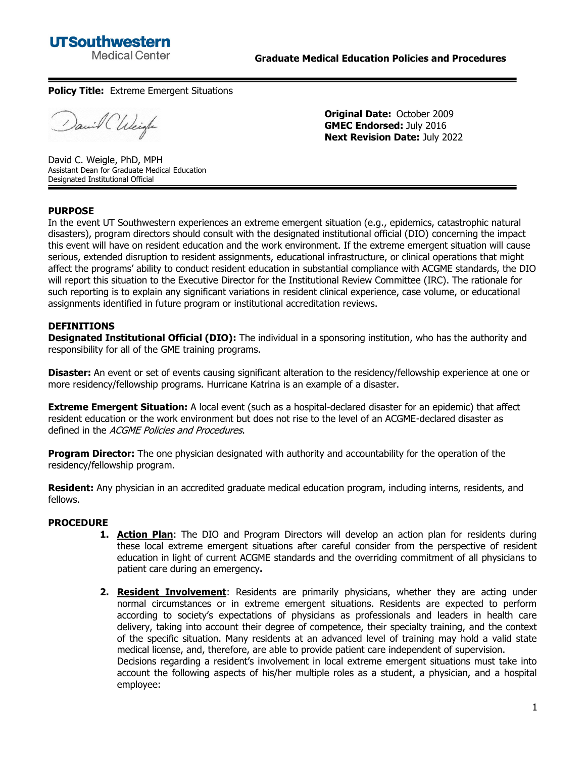

**Original Date:** October 2009 **GMEC Endorsed:** July 2016 **Next Revision Date:** July 2022

### **Policy Title: Extreme Emergent Situations**

David Chleigh

David C. Weigle, PhD, MPH Assistant Dean for Graduate Medical Education Designated Institutional Official

# **PURPOSE**

In the event UT Southwestern experiences an extreme emergent situation (e.g., epidemics, catastrophic natural disasters), program directors should consult with the designated institutional official (DIO) concerning the impact this event will have on resident education and the work environment. If the extreme emergent situation will cause serious, extended disruption to resident assignments, educational infrastructure, or clinical operations that might affect the programs' ability to conduct resident education in substantial compliance with ACGME standards, the DIO will report this situation to the Executive Director for the Institutional Review Committee (IRC). The rationale for such reporting is to explain any significant variations in resident clinical experience, case volume, or educational assignments identified in future program or institutional accreditation reviews.

#### **DEFINITIONS**

**Designated Institutional Official (DIO):** The individual in a sponsoring institution, who has the authority and responsibility for all of the GME training programs.

**Disaster:** An event or set of events causing significant alteration to the residency/fellowship experience at one or more residency/fellowship programs. Hurricane Katrina is an example of a disaster.

**Extreme Emergent Situation:** A local event (such as a hospital-declared disaster for an epidemic) that affect resident education or the work environment but does not rise to the level of an ACGME-declared disaster as defined in the ACGME Policies and Procedures.

**Program Director:** The one physician designated with authority and accountability for the operation of the residency/fellowship program.

**Resident:** Any physician in an accredited graduate medical education program, including interns, residents, and fellows.

#### **PROCEDURE**

- **1. Action Plan**: The DIO and Program Directors will develop an action plan for residents during these local extreme emergent situations after careful consider from the perspective of resident education in light of current ACGME standards and the overriding commitment of all physicians to patient care during an emergency**.**
- **2. Resident Involvement**: Residents are primarily physicians, whether they are acting under normal circumstances or in extreme emergent situations. Residents are expected to perform according to society's expectations of physicians as professionals and leaders in health care delivery, taking into account their degree of competence, their specialty training, and the context of the specific situation. Many residents at an advanced level of training may hold a valid state medical license, and, therefore, are able to provide patient care independent of supervision. Decisions regarding a resident's involvement in local extreme emergent situations must take into account the following aspects of his/her multiple roles as a student, a physician, and a hospital employee: